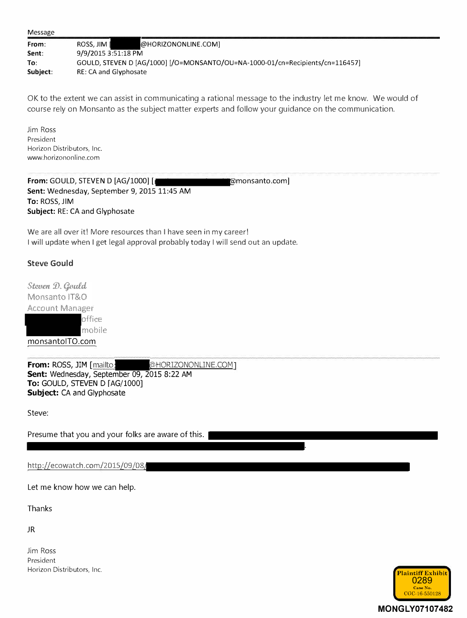| Message |
|---------|
|---------|

| From:    | @HORIZONONLINE.COMI<br>ROSS. JIM I                                            |
|----------|-------------------------------------------------------------------------------|
| Sent:    | 9/9/2015 3:51:18 PM                                                           |
| To:      | GOULD, STEVEN D [AG/1000] [/O=MONSANTO/OU=NA-1000-01/cn=Recipients/cn=116457] |
| Subject: | RE: CA and Glyphosate                                                         |

OK to the extent we can assist in communicating a rational message to the industry let me know. We would of course rely on Monsanto as the subject matter experts and follow your guidance on the communication.

Jim Ross President Horizon Distributors, Inc. www.horizononline.com

**From: GOULD, STEVEN D [AG/1000] [ Sent:** Wednesday, September 9, 2015 11:45 AM **To:** ROSS, JIM **Subject:** RE: CA and Glyphosate **monsanto.com]** 

We are all over it! More resources than I have seen in my career! I will update when I get legal approval probably today I will send out an update.

## Steve Gould

Steven D. Gould Monsanto IT&O Account Manager office mobile monsantolTO.com

**From: ROSS, JIM [mailto: @HORIZONONLINE.COM] Sent:** Wednesday, September 09, 2015 8:22 AM **To:** GOULD, STEVEN D [AG/1000] **Subject:** CA an[d Glyphosate](https://www.baumhedlundlaw.com/toxic-tort-law/monsanto-roundup-lawsuit/) 

**Steve:** 

**Presume that you and your folks are aware of this.** 

http://ecowatch.com/2015/09/08/

**Let me know how we can help.** 

**Thanks** 

**JR** 

Jim Ross President Horizon Distributors, Inc. **Plaintiff Exhibit** 



**.**